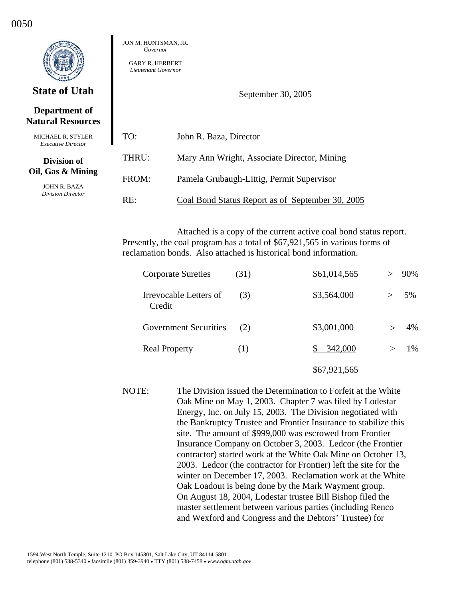## **Department of Natural Resources**

| <b>MICHAEL R. STYLER</b><br><i>Executive Director</i>                 | TO:   | John R. Baza, Director                           |
|-----------------------------------------------------------------------|-------|--------------------------------------------------|
| Division of<br>Oil, Gas & Mining<br>JOHN R. BAZA<br>Division Director | THRU: | Mary Ann Wright, Associate Director, Mining      |
|                                                                       | FROM: | Pamela Grubaugh-Littig, Permit Supervisor        |
|                                                                       | RE:   | Coal Bond Status Report as of September 30, 2005 |

JON M. HUNTSMAN, JR. *Governor*  GARY R. HERBERT *Lieutenant Governor* 

Attached is a copy of the current active coal bond status report. Presently, the coal program has a total of \$67,921,565 in various forms of reclamation bonds. Also attached is historical bond information.

September 30, 2005

| <b>Corporate Sureties</b>        | (31) | \$61,014,565 |        | 90% |
|----------------------------------|------|--------------|--------|-----|
| Irrevocable Letters of<br>Credit | (3)  | \$3,564,000  | $\geq$ | 5%  |
| <b>Government Securities</b>     | (2)  | \$3,001,000  |        | 4%  |
| <b>Real Property</b>             | (1)  | 342,000      |        | 1%  |
|                                  |      | \$67,921,565 |        |     |

NOTE: The Division issued the Determination to Forfeit at the White Oak Mine on May 1, 2003. Chapter 7 was filed by Lodestar Energy, Inc. on July 15, 2003. The Division negotiated with the Bankruptcy Trustee and Frontier Insurance to stabilize this site. The amount of \$999,000 was escrowed from Frontier Insurance Company on October 3, 2003. Ledcor (the Frontier contractor) started work at the White Oak Mine on October 13, 2003. Ledcor (the contractor for Frontier) left the site for the winter on December 17, 2003. Reclamation work at the White Oak Loadout is being done by the Mark Wayment group. On August 18, 2004, Lodestar trustee Bill Bishop filed the master settlement between various parties (including Renco and Wexford and Congress and the Debtors' Trustee) for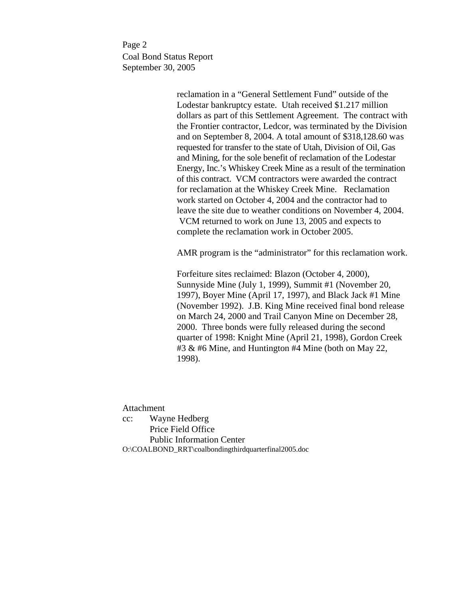Page 2 Coal Bond Status Report September 30, 2005

> reclamation in a "General Settlement Fund" outside of the Lodestar bankruptcy estate. Utah received \$1.217 million dollars as part of this Settlement Agreement. The contract with the Frontier contractor, Ledcor, was terminated by the Division and on September 8, 2004. A total amount of \$318,128.60 was requested for transfer to the state of Utah, Division of Oil, Gas and Mining, for the sole benefit of reclamation of the Lodestar Energy, Inc.'s Whiskey Creek Mine as a result of the termination of this contract. VCM contractors were awarded the contract for reclamation at the Whiskey Creek Mine. Reclamation work started on October 4, 2004 and the contractor had to leave the site due to weather conditions on November 4, 2004. VCM returned to work on June 13, 2005 and expects to complete the reclamation work in October 2005.

> AMR program is the "administrator" for this reclamation work.

 Forfeiture sites reclaimed: Blazon (October 4, 2000), Sunnyside Mine (July 1, 1999), Summit #1 (November 20, 1997), Boyer Mine (April 17, 1997), and Black Jack #1 Mine (November 1992). J.B. King Mine received final bond release on March 24, 2000 and Trail Canyon Mine on December 28, 2000. Three bonds were fully released during the second quarter of 1998: Knight Mine (April 21, 1998), Gordon Creek #3 & #6 Mine, and Huntington #4 Mine (both on May 22, 1998).

Attachment

cc: Wayne Hedberg Price Field Office Public Information Center O:\COALBOND\_RRT\coalbondingthirdquarterfinal2005.doc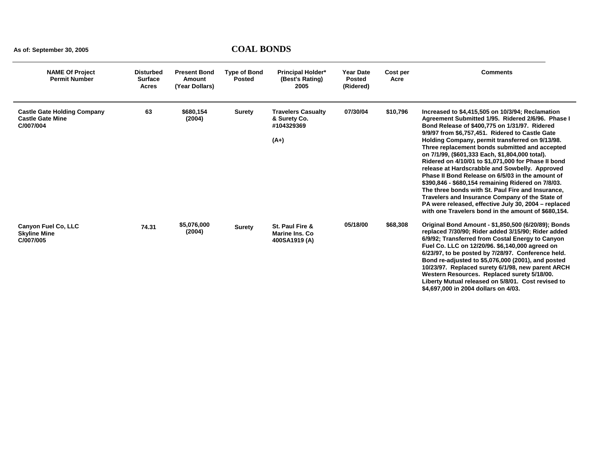| <b>NAME Of Project</b><br><b>Permit Number</b>                             | <b>Disturbed</b><br><b>Surface</b><br><b>Acres</b> | <b>Present Bond</b><br><b>Amount</b><br>(Year Dollars) | <b>Type of Bond</b><br><b>Posted</b> | <b>Principal Holder*</b><br>(Best's Rating)<br>2005               | <b>Year Date</b><br><b>Posted</b><br>(Ridered) | Cost per<br>Acre | <b>Comments</b>                                                                                                                                                                                                                                                                                                                                                                                                                                                                                                                                                                                                                                                                                                                                                                                             |
|----------------------------------------------------------------------------|----------------------------------------------------|--------------------------------------------------------|--------------------------------------|-------------------------------------------------------------------|------------------------------------------------|------------------|-------------------------------------------------------------------------------------------------------------------------------------------------------------------------------------------------------------------------------------------------------------------------------------------------------------------------------------------------------------------------------------------------------------------------------------------------------------------------------------------------------------------------------------------------------------------------------------------------------------------------------------------------------------------------------------------------------------------------------------------------------------------------------------------------------------|
| <b>Castle Gate Holding Company</b><br><b>Castle Gate Mine</b><br>C/007/004 | 63                                                 | \$680,154<br>(2004)                                    | <b>Surety</b>                        | <b>Travelers Casualty</b><br>& Surety Co.<br>#104329369<br>$(A+)$ | 07/30/04                                       | \$10,796         | Increased to \$4,415,505 on 10/3/94; Reclamation<br>Agreement Submitted 1/95. Ridered 2/6/96. Phase I<br>Bond Release of \$400.775 on 1/31/97. Ridered<br>9/9/97 from \$6,757,451. Ridered to Castle Gate<br>Holding Company, permit transferred on 9/13/98.<br>Three replacement bonds submitted and accepted<br>on 7/1/99, (\$601,333 Each, \$1,804,000 total).<br>Ridered on 4/10/01 to \$1,071,000 for Phase II bond<br>release at Hardscrabble and Sowbelly. Approved<br>Phase II Bond Release on 6/5/03 in the amount of<br>\$390,846 - \$680,154 remaining Ridered on 7/8/03.<br>The three bonds with St. Paul Fire and Insurance.<br>Travelers and Insurance Company of the State of<br>PA were released, effective July 30, 2004 - replaced<br>with one Travelers bond in the amount of \$680,154. |
| Canyon Fuel Co, LLC<br><b>Skyline Mine</b><br>C/007/005                    | 74.31                                              | \$5,076,000<br>(2004)                                  | <b>Surety</b>                        | St. Paul Fire &<br><b>Marine Ins. Co</b><br>400SA1919 (A)         | 05/18/00                                       | \$68,308         | Original Bond Amount - \$1,850,500 (6/20/89); Bonds<br>replaced 7/30/90; Rider added 3/15/90; Rider added<br>6/9/92; Transferred from Costal Energy to Canyon<br>Fuel Co. LLC on 12/20/96. \$6,140,000 agreed on<br>6/23/97, to be posted by 7/28/97. Conference held.<br>Bond re-adjusted to \$5,076,000 (2001), and posted<br>10/23/97. Replaced surety 6/1/98, new parent ARCH<br>Western Resources. Replaced surety 5/18/00.<br>Liberty Mutual released on 5/8/01. Cost revised to<br>\$4,697,000 in 2004 dollars on 4/03.                                                                                                                                                                                                                                                                              |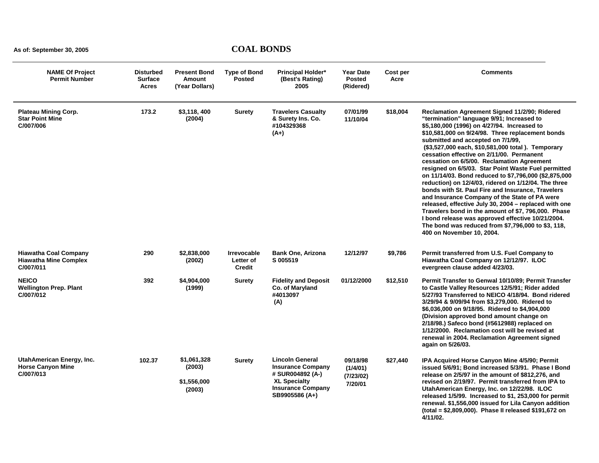| <b>NAME Of Project</b><br><b>Permit Number</b>                            | <b>Disturbed</b><br><b>Surface</b><br>Acres | <b>Present Bond</b><br>Amount<br>(Year Dollars) | <b>Type of Bond</b><br><b>Posted</b>             | <b>Principal Holder*</b><br>(Best's Rating)<br>2005                                                                                         | <b>Year Date</b><br><b>Posted</b><br>(Ridered) | Cost per<br>Acre | <b>Comments</b>                                                                                                                                                                                                                                                                                                                                                                                                                                                                                                                                                                                                                                                                                                                                                                                                                                                                                                                 |
|---------------------------------------------------------------------------|---------------------------------------------|-------------------------------------------------|--------------------------------------------------|---------------------------------------------------------------------------------------------------------------------------------------------|------------------------------------------------|------------------|---------------------------------------------------------------------------------------------------------------------------------------------------------------------------------------------------------------------------------------------------------------------------------------------------------------------------------------------------------------------------------------------------------------------------------------------------------------------------------------------------------------------------------------------------------------------------------------------------------------------------------------------------------------------------------------------------------------------------------------------------------------------------------------------------------------------------------------------------------------------------------------------------------------------------------|
| <b>Plateau Mining Corp.</b><br><b>Star Point Mine</b><br>C/007/006        | 173.2                                       | \$3.118,400<br>(2004)                           | Surety                                           | <b>Travelers Casualty</b><br>& Surety Ins. Co.<br>#104329368<br>$(A+)$                                                                      | 07/01/99<br>11/10/04                           | \$18,004         | <b>Reclamation Agreement Signed 11/2/90; Ridered</b><br>"termination" language 9/91; Increased to<br>\$5,180,000 (1996) on 4/27/94. Increased to<br>\$10,581,000 on 9/24/98. Three replacement bonds<br>submitted and accepted on 7/1/99,<br>(\$3,527,000 each, \$10,581,000 total). Temporary<br>cessation effective on 2/11/00. Permanent<br>cessation on 6/5/00. Reclamation Agreement<br>resigned on 6/5/03. Star Point Waste Fuel permitted<br>on 11/14/03. Bond reduced to \$7,796,000 (\$2,875,000<br>reduction) on 12/4/03, ridered on 1/12/04. The three<br>bonds with St. Paul Fire and Insurance, Travelers<br>and Insurance Company of the State of PA were<br>released, effective July 30, 2004 - replaced with one<br>Travelers bond in the amount of \$7, 796,000. Phase<br>I bond release was approved effective 10/21/2004.<br>The bond was reduced from \$7,796,000 to \$3, 118,<br>400 on November 10, 2004. |
| <b>Hiawatha Coal Company</b><br><b>Hiawatha Mine Complex</b><br>C/007/011 | 290                                         | \$2,838,000<br>(2002)                           | <b>Irrevocable</b><br>Letter of<br><b>Credit</b> | <b>Bank One, Arizona</b><br>S 005519                                                                                                        | 12/12/97                                       | \$9,786          | Permit transferred from U.S. Fuel Company to<br>Hiawatha Coal Company on 12/12/97. ILOC<br>evergreen clause added 4/23/03.                                                                                                                                                                                                                                                                                                                                                                                                                                                                                                                                                                                                                                                                                                                                                                                                      |
| <b>NEICO</b><br><b>Wellington Prep. Plant</b><br>C/007/012                | 392                                         | \$4,904,000<br>(1999)                           | <b>Surety</b>                                    | <b>Fidelity and Deposit</b><br>Co. of Maryland<br>#4013097<br>(A)                                                                           | 01/12/2000                                     | \$12,510         | Permit Transfer to Genwal 10/10/89; Permit Transfer<br>to Castle Valley Resources 12/5/91; Rider added<br>5/27/93 Transferred to NEICO 4/18/94. Bond ridered<br>3/29/94 & 9/09/94 from \$3,279,000. Ridered to<br>\$6,036,000 on 9/18/95. Ridered to \$4,904,000<br>(Division approved bond amount change on<br>2/18/98.) Safeco bond (#5612988) replaced on<br>1/12/2000. Reclamation cost will be revised at<br>renewal in 2004. Reclamation Agreement signed<br>again on 5/26/03.                                                                                                                                                                                                                                                                                                                                                                                                                                            |
| UtahAmerican Energy, Inc.<br><b>Horse Canyon Mine</b><br>C/007/013        | 102.37                                      | \$1,061,328<br>(2003)<br>\$1,556,000<br>(2003)  | <b>Surety</b>                                    | <b>Lincoln General</b><br><b>Insurance Company</b><br># SUR004892 (A-)<br><b>XL Specialty</b><br><b>Insurance Company</b><br>SB9905586 (A+) | 09/18/98<br>(1/4/01)<br>(7/23/02)<br>7/20/01   | \$27,440         | IPA Acquired Horse Canyon Mine 4/5/90; Permit<br>issued 5/6/91; Bond increased 5/3/91. Phase I Bond<br>release on 2/5/97 in the amount of \$812,276, and<br>revised on 2/19/97. Permit transferred from IPA to<br>UtahAmerican Energy, Inc. on 12/22/98. ILOC<br>released 1/5/99. Increased to \$1, 253,000 for permit<br>renewal. \$1,556,000 issued for Lila Canyon addition<br>(total = \$2,809,000). Phase II released \$191,672 on<br>4/11/02.                                                                                                                                                                                                                                                                                                                                                                                                                                                                             |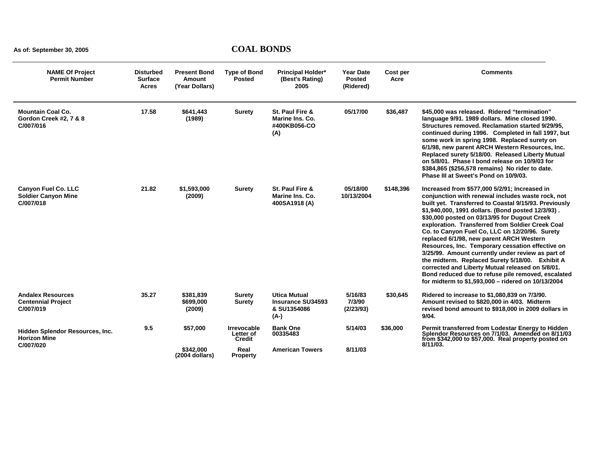| <b>NAME Of Project</b><br><b>Permit Number</b>                        | <b>Disturbed</b><br><b>Surface</b><br><b>Acres</b> | <b>Present Bond</b><br>Amount<br>(Year Dollars) | <b>Type of Bond</b><br><b>Posted</b>      | <b>Principal Holder*</b><br>(Best's Rating)<br>2005                    | <b>Year Date</b><br><b>Posted</b><br>(Ridered) | Cost per<br>Acre | <b>Comments</b>                                                                                                                                                                                                                                                                                                                                                                                                                                                                                                                                                                                                                                                                                                                                |
|-----------------------------------------------------------------------|----------------------------------------------------|-------------------------------------------------|-------------------------------------------|------------------------------------------------------------------------|------------------------------------------------|------------------|------------------------------------------------------------------------------------------------------------------------------------------------------------------------------------------------------------------------------------------------------------------------------------------------------------------------------------------------------------------------------------------------------------------------------------------------------------------------------------------------------------------------------------------------------------------------------------------------------------------------------------------------------------------------------------------------------------------------------------------------|
| <b>Mountain Coal Co.</b><br>Gordon Creek #2, 7 & 8<br>C/007/016       | 17.58                                              | \$641,443<br>(1989)                             | <b>Surety</b>                             | St. Paul Fire &<br>Marine Ins. Co.<br>#400KB056-CO<br>(A)              | 05/17/00                                       | \$36,487         | \$45,000 was released. Ridered "termination"<br>language 9/91. 1989 dollars. Mine closed 1990.<br>Structures removed. Reclamation started 9/29/95,<br>continued during 1996. Completed in fall 1997, but<br>some work in spring 1998. Replaced surety on<br>6/1/98, new parent ARCH Western Resources, Inc.<br>Replaced surety 5/18/00. Released Liberty Mutual<br>on 5/8/01. Phase I bond release on 10/9/03 for<br>\$384,865 (\$256,578 remains) No rider to date.<br>Phase III at Sweet's Pond on 10/9/03.                                                                                                                                                                                                                                  |
| <b>Canyon Fuel Co. LLC</b><br><b>Soldier Canyon Mine</b><br>C/007/018 | 21.82                                              | \$1,593,000<br>(2009)                           | <b>Surety</b>                             | St. Paul Fire &<br>Marine Ins. Co.<br>400SA1918 (A)                    | 05/18/00<br>10/13/2004                         | \$148,396        | Increased from \$577,000 5/2/91; Increased in<br>conjunction with renewal includes waste rock, not<br>built yet. Transferred to Coastal 9/15/93. Previously<br>\$1,940,000, 1991 dollars. (Bond posted 12/3/93).<br>\$30,000 posted on 03/13/95 for Dugout Creek<br>exploration. Transferred from Soldier Creek Coal<br>Co. to Canyon Fuel Co. LLC on 12/20/96. Surety<br>replaced 6/1/98, new parent ARCH Western<br>Resources, Inc. Temporary cessation effective on<br>3/25/99. Amount currently under review as part of<br>the midterm. Replaced Surety 5/18/00. Exhibit A<br>corrected and Liberty Mutual released on 5/8/01.<br>Bond reduced due to refuse pile removed, escalated<br>for midterm to \$1,593,000 - ridered on 10/13/2004 |
| <b>Andalex Resources</b><br><b>Centennial Project</b><br>C/007/019    | 35.27                                              | \$381,839<br>\$699,000<br>(2009)                | <b>Surety</b><br><b>Surety</b>            | <b>Utica Mutual</b><br><b>Insurance SU34593</b><br>& SU1354086<br>(A-) | 5/16/83<br>7/3/90<br>(2/23/93)                 | \$30,645         | Ridered to increase to \$1,080,839 on 7/3/90.<br>Amount revised to \$820,000 in 4/03. Midterm<br>revised bond amount to \$918,000 in 2009 dollars in<br>9/04.                                                                                                                                                                                                                                                                                                                                                                                                                                                                                                                                                                                  |
| Hidden Splendor Resources, Inc.<br><b>Horizon Mine</b>                | 9.5                                                | \$57,000                                        | <b>Irrevocable</b><br>Letter of<br>Credit | <b>Bank One</b><br>00335483                                            | 5/14/03                                        | \$36,000         | Permit transferred from Lodestar Energy to Hidden<br>Splendor Resources on 7/1/03. Amended on 8/11/03<br>from \$342,000 to \$57,000. Real property posted on                                                                                                                                                                                                                                                                                                                                                                                                                                                                                                                                                                                   |
| C/007/020                                                             |                                                    | \$342.000<br>(2004 dollars)                     | Real<br><b>Property</b>                   | <b>American Towers</b>                                                 | 8/11/03                                        |                  | $8/11/03$ .                                                                                                                                                                                                                                                                                                                                                                                                                                                                                                                                                                                                                                                                                                                                    |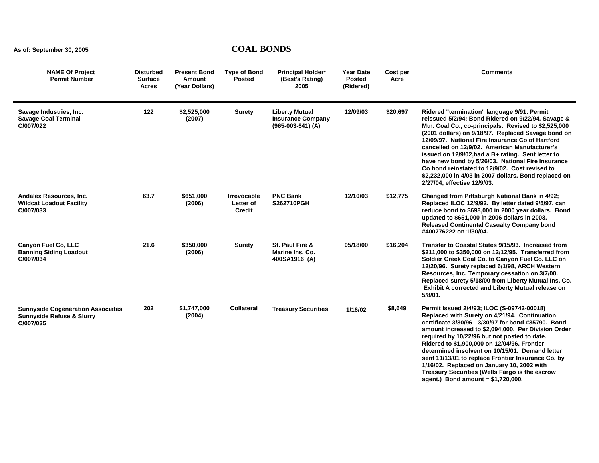| <b>NAME Of Project</b><br><b>Permit Number</b>                                                | <b>Disturbed</b><br><b>Surface</b><br><b>Acres</b> | <b>Present Bond</b><br>Amount<br>(Year Dollars) | <b>Type of Bond</b><br><b>Posted</b>      | <b>Principal Holder*</b><br>(Best's Rating)<br>2005                      | Year Date<br><b>Posted</b><br>(Ridered) | Cost per<br>Acre | <b>Comments</b>                                                                                                                                                                                                                                                                                                                                                                                                                                                                                                                                                           |
|-----------------------------------------------------------------------------------------------|----------------------------------------------------|-------------------------------------------------|-------------------------------------------|--------------------------------------------------------------------------|-----------------------------------------|------------------|---------------------------------------------------------------------------------------------------------------------------------------------------------------------------------------------------------------------------------------------------------------------------------------------------------------------------------------------------------------------------------------------------------------------------------------------------------------------------------------------------------------------------------------------------------------------------|
| Savage Industries, Inc.<br><b>Savage Coal Terminal</b><br>C/007/022                           | 122                                                | \$2,525,000<br>(2007)                           | Surety                                    | <b>Liberty Mutual</b><br><b>Insurance Company</b><br>$(965-003-641)$ (A) | 12/09/03                                | \$20,697         | Ridered "termination" language 9/91. Permit<br>reissued 5/2/94; Bond Ridered on 9/22/94. Savage &<br>Mtn. Coal Co., co-principals. Revised to \$2,525,000<br>(2001 dollars) on 9/18/97. Replaced Savage bond on<br>12/09/97. National Fire Insurance Co of Hartford<br>cancelled on 12/9/02. American Manufacturer's<br>issued on 12/9/02, had a B+ rating. Sent letter to<br>have new bond by 5/26/03. National Fire Insurance<br>Co bond reinstated to 12/9/02. Cost revised to<br>\$2,232,000 in 4/03 in 2007 dollars. Bond replaced on<br>2/27/04, effective 12/9/03. |
| Andalex Resources, Inc.<br><b>Wildcat Loadout Facility</b><br>C/007/033                       | 63.7                                               | \$651,000<br>(2006)                             | <b>Irrevocable</b><br>Letter of<br>Credit | <b>PNC Bank</b><br>S262710PGH                                            | 12/10/03                                | \$12,775         | Changed from Pittsburgh National Bank in 4/92;<br>Replaced ILOC 12/9/92. By letter dated 9/5/97, can<br>reduce bond to \$698,000 in 2000 year dollars. Bond<br>updated to \$651,000 in 2006 dollars in 2003.<br><b>Released Continental Casualty Company bond</b><br>#400776222 on 1/30/04.                                                                                                                                                                                                                                                                               |
| <b>Canyon Fuel Co, LLC</b><br><b>Banning Siding Loadout</b><br>C/007/034                      | 21.6                                               | \$350,000<br>(2006)                             | <b>Surety</b>                             | St. Paul Fire &<br>Marine Ins. Co.<br>400SA1916 (A)                      | 05/18/00                                | \$16,204         | Transfer to Coastal States 9/15/93. Increased from<br>\$211,000 to \$350,000 on 12/12/95. Transferred from<br>Soldier Creek Coal Co. to Canyon Fuel Co. LLC on<br>12/20/96. Surety replaced 6/1/98, ARCH Western<br>Resources, Inc. Temporary cessation on 3/7/00.<br>Replaced surety 5/18/00 from Liberty Mutual Ins. Co.<br>Exhibit A corrected and Liberty Mutual release on<br>5/8/01.                                                                                                                                                                                |
| <b>Sunnyside Cogeneration Associates</b><br><b>Sunnyside Refuse &amp; Slurry</b><br>C/007/035 | 202                                                | \$1,747,000<br>(2004)                           | <b>Collateral</b>                         | <b>Treasury Securities</b>                                               | 1/16/02                                 | \$8,649          | Permit Issued 2/4/93; ILOC (S-09742-00018)<br>Replaced with Surety on 4/21/94. Continuation<br>certificate 3/30/96 - 3/30/97 for bond #35790. Bond<br>amount increased to \$2,094,000. Per Division Order<br>required by 10/22/96 but not posted to date.<br>Ridered to \$1,900,000 on 12/04/96. Frontier<br>determined insolvent on 10/15/01. Demand letter<br>sent 11/13/01 to replace Frontier Insurance Co. by<br>1/16/02. Replaced on January 10, 2002 with<br>Treasury Securities (Wells Fargo is the escrow<br>agent.) Bond amount = \$1,720,000.                  |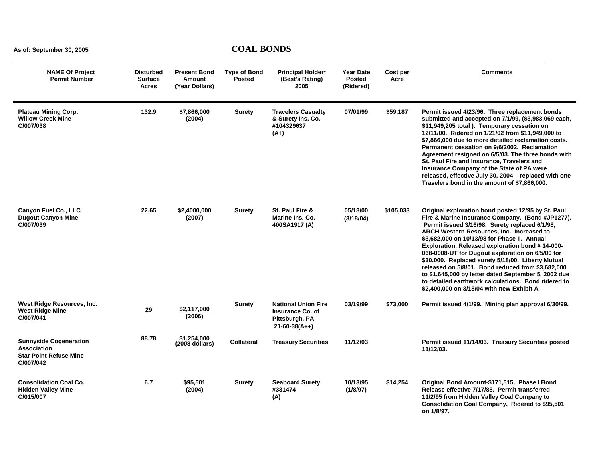| <b>NAME Of Project</b><br><b>Permit Number</b>                                             | <b>Disturbed</b><br><b>Surface</b><br><b>Acres</b> | <b>Present Bond</b><br><b>Amount</b><br>(Year Dollars) | <b>Type of Bond</b><br><b>Posted</b> | <b>Principal Holder*</b><br>(Best's Rating)<br>2005                                            | <b>Year Date</b><br><b>Posted</b><br>(Ridered) | Cost per<br>Acre | <b>Comments</b>                                                                                                                                                                                                                                                                                                                                                                                                                                                                                                                                                                                                                     |
|--------------------------------------------------------------------------------------------|----------------------------------------------------|--------------------------------------------------------|--------------------------------------|------------------------------------------------------------------------------------------------|------------------------------------------------|------------------|-------------------------------------------------------------------------------------------------------------------------------------------------------------------------------------------------------------------------------------------------------------------------------------------------------------------------------------------------------------------------------------------------------------------------------------------------------------------------------------------------------------------------------------------------------------------------------------------------------------------------------------|
| <b>Plateau Mining Corp.</b><br><b>Willow Creek Mine</b><br>C/007/038                       | 132.9                                              | \$7.866.000<br>(2004)                                  | Surety                               | <b>Travelers Casualty</b><br>& Surety Ins. Co.<br>#104329637<br>$(A+)$                         | 07/01/99                                       | \$59,187         | Permit issued 4/23/96. Three replacement bonds<br>submitted and accepted on 7/1/99, (\$3,983,069 each,<br>\$11,949,205 total ). Temporary cessation on<br>12/11/00. Ridered on 1/21/02 from \$11,949,000 to<br>\$7,866,000 due to more detailed reclamation costs.<br>Permanent cessation on 9/6/2002. Reclamation<br>Agreement resigned on 6/5/03. The three bonds with<br>St. Paul Fire and Insurance, Travelers and<br>Insurance Company of the State of PA were<br>released, effective July 30, 2004 - replaced with one<br>Travelers bond in the amount of \$7,866,000.                                                        |
| Canyon Fuel Co., LLC<br><b>Dugout Canyon Mine</b><br>C/007/039                             | 22.65                                              | \$2,4000,000<br>(2007)                                 | <b>Surety</b>                        | St. Paul Fire &<br>Marine Ins. Co.<br>400SA1917 (A)                                            | 05/18/00<br>(3/18/04)                          | \$105,033        | Original exploration bond posted 12/95 by St. Paul<br>Fire & Marine Insurance Company. (Bond #JP1277).<br>Permit issued 3/16/98. Surety replaced 6/1/98,<br>ARCH Western Resources, Inc. Increased to<br>\$3,682,000 on 10/13/98 for Phase II. Annual<br>Exploration. Released exploration bond #14-000-<br>068-0008-UT for Dugout exploration on 6/5/00 for<br>\$30,000. Replaced surety 5/18/00. Liberty Mutual<br>released on 5/8/01. Bond reduced from \$3,682,000<br>to \$1,645,000 by letter dated September 5, 2002 due<br>to detailed earthwork calculations. Bond ridered to<br>\$2,400,000 on 3/18/04 with new Exhibit A. |
| West Ridge Resources, Inc.<br><b>West Ridge Mine</b><br>C/007/041                          | 29                                                 | \$2,117,000<br>(2006)                                  | <b>Surety</b>                        | <b>National Union Fire</b><br><b>Insurance Co. of</b><br>Pittsburgh, PA<br>$21 - 60 - 38(A++)$ | 03/19/99                                       | \$73,000         | Permit issued 4/1/99. Mining plan approval 6/30/99.                                                                                                                                                                                                                                                                                                                                                                                                                                                                                                                                                                                 |
| <b>Sunnyside Cogeneration</b><br>Association<br><b>Star Point Refuse Mine</b><br>C/007/042 | 88.78                                              | \$1,254,000<br>$(2008$ dollars)                        | <b>Collateral</b>                    | <b>Treasury Securities</b>                                                                     | 11/12/03                                       |                  | Permit issued 11/14/03. Treasury Securities posted<br>11/12/03.                                                                                                                                                                                                                                                                                                                                                                                                                                                                                                                                                                     |
| <b>Consolidation Coal Co.</b><br><b>Hidden Valley Mine</b><br>C/015/007                    | 6.7                                                | \$95,501<br>(2004)                                     | <b>Surety</b>                        | <b>Seaboard Surety</b><br>#331474<br>(A)                                                       | 10/13/95<br>(1/8/97)                           | \$14,254         | Original Bond Amount-\$171,515. Phase I Bond<br>Release effective 7/17/88. Permit transferred<br>11/2/95 from Hidden Valley Coal Company to<br>Consolidation Coal Company. Ridered to \$95,501<br>on 1/8/97.                                                                                                                                                                                                                                                                                                                                                                                                                        |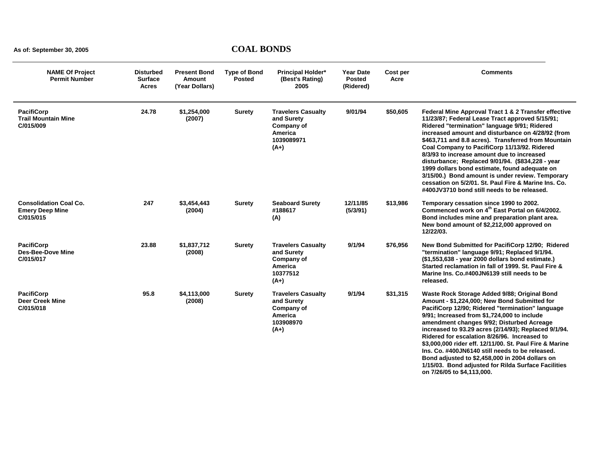| <b>NAME Of Project</b><br><b>Permit Number</b>                       | <b>Disturbed</b><br><b>Surface</b><br><b>Acres</b> | <b>Present Bond</b><br><b>Amount</b><br>(Year Dollars) | <b>Type of Bond</b><br><b>Posted</b> | Principal Holder*<br>(Best's Rating)<br>2005                                             | <b>Year Date</b><br><b>Posted</b><br>(Ridered) | Cost per<br>Acre | <b>Comments</b>                                                                                                                                                                                                                                                                                                                                                                                                                                                                                                                                                                                                                   |
|----------------------------------------------------------------------|----------------------------------------------------|--------------------------------------------------------|--------------------------------------|------------------------------------------------------------------------------------------|------------------------------------------------|------------------|-----------------------------------------------------------------------------------------------------------------------------------------------------------------------------------------------------------------------------------------------------------------------------------------------------------------------------------------------------------------------------------------------------------------------------------------------------------------------------------------------------------------------------------------------------------------------------------------------------------------------------------|
| <b>PacifiCorp</b><br><b>Trail Mountain Mine</b><br>C/015/009         | 24.78                                              | \$1,254,000<br>(2007)                                  | <b>Surety</b>                        | <b>Travelers Casualty</b><br>and Surety<br>Company of<br>America<br>1039089971<br>$(A+)$ | 9/01/94                                        | \$50,605         | Federal Mine Approval Tract 1 & 2 Transfer effective<br>11/23/87; Federal Lease Tract approved 5/15/91;<br>Ridered "termination" language 9/91; Ridered<br>increased amount and disturbance on 4/28/92 (from<br>\$463,711 and 8.8 acres). Transferred from Mountain<br>Coal Company to PacifiCorp 11/13/92. Ridered<br>8/3/93 to increase amount due to increased<br>disturbance; Replaced 9/01/94. (\$834,228 - year<br>1999 dollars bond estimate, found adequate on<br>3/15/00.) Bond amount is under review. Temporary<br>cessation on 5/2/01. St. Paul Fire & Marine Ins. Co.<br>#400JV3710 bond still needs to be released. |
| <b>Consolidation Coal Co.</b><br><b>Emery Deep Mine</b><br>C/015/015 | 247                                                | \$3,454,443<br>(2004)                                  | <b>Surety</b>                        | <b>Seaboard Surety</b><br>#188617<br>(A)                                                 | 12/11/85<br>(5/3/91)                           | \$13,986         | Temporary cessation since 1990 to 2002.<br>Commenced work on 4 <sup>th</sup> East Portal on 6/4/2002.<br>Bond includes mine and preparation plant area.<br>New bond amount of \$2,212,000 approved on<br>12/22/03.                                                                                                                                                                                                                                                                                                                                                                                                                |
| <b>PacifiCorp</b><br><b>Des-Bee-Dove Mine</b><br>C/015/017           | 23.88                                              | \$1,837,712<br>(2008)                                  | <b>Surety</b>                        | <b>Travelers Casualty</b><br>and Surety<br>Company of<br>America<br>10377512<br>$(A+)$   | 9/1/94                                         | \$76,956         | New Bond Submitted for PacifiCorp 12/90; Ridered<br>"termination" language 9/91; Replaced 9/1/94.<br>(\$1,553,638 - year 2000 dollars bond estimate.)<br>Started reclamation in fall of 1999. St. Paul Fire &<br>Marine Ins. Co.#400JN6139 still needs to be<br>released.                                                                                                                                                                                                                                                                                                                                                         |
| <b>PacifiCorp</b><br><b>Deer Creek Mine</b><br>C/015/018             | 95.8                                               | \$4,113,000<br>(2008)                                  | <b>Surety</b>                        | <b>Travelers Casualty</b><br>and Surety<br>Company of<br>America<br>103908970<br>$(A+)$  | 9/1/94                                         | \$31,315         | Waste Rock Storage Added 9/88; Original Bond<br>Amount - \$1,224,000; New Bond Submitted for<br>PacifiCorp 12/90; Ridered "termination" language<br>9/91; Increased from \$1,724,000 to include<br>amendment changes 9/92; Disturbed Acreage<br>increased to 93.29 acres (2/14/93); Replaced 9/1/94.<br>Ridered for escalation 8/26/96. Increased to<br>\$3,000,000 rider eff. 12/11/00. St. Paul Fire & Marine<br>Ins. Co. #400JN6140 still needs to be released.<br>Bond adjusted to \$2,458,000 in 2004 dollars on<br>1/15/03. Bond adjusted for Rilda Surface Facilities<br>on 7/26/05 to \$4,113,000.                        |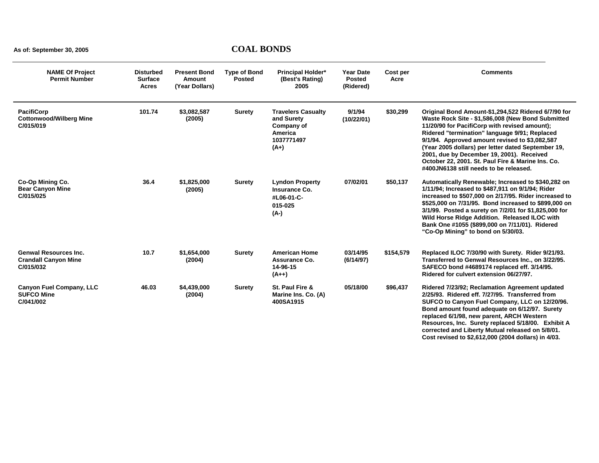| <b>NAME Of Project</b><br><b>Permit Number</b>                           | <b>Disturbed</b><br><b>Surface</b><br><b>Acres</b> | <b>Present Bond</b><br>Amount<br>(Year Dollars) | <b>Type of Bond</b><br><b>Posted</b> | <b>Principal Holder*</b><br>(Best's Rating)<br>2005                                      | <b>Year Date</b><br><b>Posted</b><br>(Ridered) | Cost per<br>Acre | <b>Comments</b>                                                                                                                                                                                                                                                                                                                                                                                                                                                |
|--------------------------------------------------------------------------|----------------------------------------------------|-------------------------------------------------|--------------------------------------|------------------------------------------------------------------------------------------|------------------------------------------------|------------------|----------------------------------------------------------------------------------------------------------------------------------------------------------------------------------------------------------------------------------------------------------------------------------------------------------------------------------------------------------------------------------------------------------------------------------------------------------------|
| <b>PacifiCorp</b><br><b>Cottonwood/Wilberg Mine</b><br>C/015/019         | 101.74                                             | \$3,082,587<br>(2005)                           | <b>Surety</b>                        | <b>Travelers Casualty</b><br>and Surety<br>Company of<br>America<br>1037771497<br>$(A+)$ | 9/1/94<br>(10/22/01)                           | \$30,299         | Original Bond Amount-\$1,294,522 Ridered 6/7/90 for<br>Waste Rock Site - \$1,586,008 (New Bond Submitted<br>11/20/90 for PacifiCorp with revised amount);<br>Ridered "termination" language 9/91; Replaced<br>9/1/94. Approved amount revised to \$3,082,587<br>(Year 2005 dollars) per letter dated September 19,<br>2001, due by December 19, 2001). Received<br>October 22, 2001. St. Paul Fire & Marine Ins. Co.<br>#400JN6138 still needs to be released. |
| Co-Op Mining Co.<br><b>Bear Canyon Mine</b><br>C/015/025                 | 36.4                                               | \$1,825,000<br>(2005)                           | <b>Surety</b>                        | <b>Lyndon Property</b><br>Insurance Co.<br>#L06-01-C-<br>015-025<br>$(A-)$               | 07/02/01                                       | \$50,137         | Automatically Renewable; Increased to \$340,282 on<br>1/11/94; Increased to \$487,911 on 9/1/94; Rider<br>increased to \$507,000 on 2/17/95. Rider increased to<br>\$525,000 on 7/31/95. Bond increased to \$899,000 on<br>3/1/99. Posted a surety on 7/2/01 for \$1,825,000 for<br>Wild Horse Ridge Addition. Released ILOC with<br>Bank One #1055 (\$899,000 on 7/11/01). Ridered<br>"Co-Op Mining" to bond on 5/30/03.                                      |
| <b>Genwal Resources Inc.</b><br><b>Crandall Canyon Mine</b><br>C/015/032 | 10.7                                               | \$1,654,000<br>(2004)                           | <b>Surety</b>                        | <b>American Home</b><br>Assurance Co.<br>14-96-15<br>$(A++)$                             | 03/14/95<br>(6/14/97)                          | \$154,579        | Replaced ILOC 7/30/90 with Surety. Rider 9/21/93.<br>Transferred to Genwal Resources Inc., on 3/22/95.<br>SAFECO bond #4689174 replaced eff. 3/14/95.<br>Ridered for culvert extension 06/27/97.                                                                                                                                                                                                                                                               |
| <b>Canyon Fuel Company, LLC</b><br><b>SUFCO Mine</b><br>C/041/002        | 46.03                                              | \$4,439,000<br>(2004)                           | <b>Surety</b>                        | St. Paul Fire &<br>Marine Ins. Co. (A)<br>400SA1915                                      | 05/18/00                                       | \$96,437         | Ridered 7/23/92; Reclamation Agreement updated<br>2/25/93. Ridered eff. 7/27/95. Transferred from<br>SUFCO to Canyon Fuel Company, LLC on 12/20/96.<br>Bond amount found adequate on 6/12/97. Surety<br>replaced 6/1/98, new parent, ARCH Western<br>Resources, Inc. Surety replaced 5/18/00. Exhibit A<br>corrected and Liberty Mutual released on 5/8/01.<br>Cost revised to \$2,612,000 (2004 dollars) in 4/03.                                             |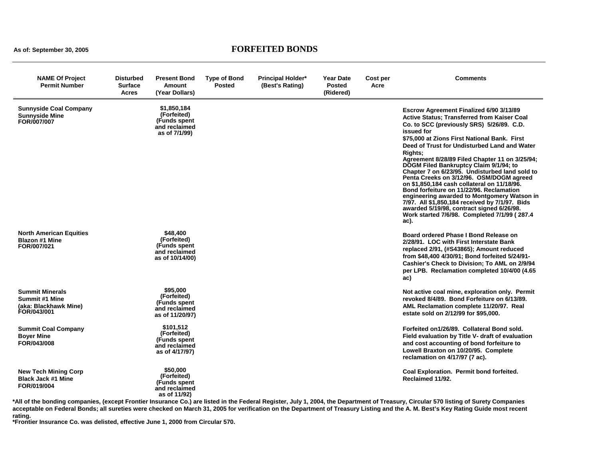#### **As of: September 30, 2005 FORFEITED BONDS**

| <b>NAME Of Project</b><br><b>Permit Number</b>                                          | <b>Disturbed</b><br><b>Surface</b><br><b>Acres</b> | <b>Present Bond</b><br>Amount<br>(Year Dollars)                               | <b>Type of Bond</b><br><b>Posted</b> | <b>Principal Holder*</b><br>(Best's Rating) | <b>Year Date</b><br><b>Posted</b><br>(Ridered) | Cost per<br>Acre | <b>Comments</b>                                                                                                                                                                                                                                                                                                                                                                                                                                                                                                                                                                                                                                                                                                                                                 |
|-----------------------------------------------------------------------------------------|----------------------------------------------------|-------------------------------------------------------------------------------|--------------------------------------|---------------------------------------------|------------------------------------------------|------------------|-----------------------------------------------------------------------------------------------------------------------------------------------------------------------------------------------------------------------------------------------------------------------------------------------------------------------------------------------------------------------------------------------------------------------------------------------------------------------------------------------------------------------------------------------------------------------------------------------------------------------------------------------------------------------------------------------------------------------------------------------------------------|
| <b>Sunnyside Coal Company</b><br><b>Sunnyside Mine</b><br>FOR/007/007                   |                                                    | \$1,850,184<br>(Forfeited)<br>(Funds spent)<br>and reclaimed<br>as of 7/1/99) |                                      |                                             |                                                |                  | Escrow Agreement Finalized 6/90 3/13/89<br>Active Status; Transferred from Kaiser Coal<br>Co. to SCC (previously SRS) 5/26/89. C.D.<br>issued for<br>\$75,000 at Zions First National Bank. First<br>Deed of Trust for Undisturbed Land and Water<br>Rights:<br>Agreement 8/28/89 Filed Chapter 11 on 3/25/94;<br><b>DOGM Filed Bankruptcy Claim 9/1/94; to</b><br>Chapter 7 on 6/23/95. Undisturbed land sold to<br>Penta Creeks on 3/12/96. OSM/DOGM agreed<br>on \$1,850,184 cash collateral on 11/18/96.<br>Bond forfeiture on 11/22/96. Reclamation<br>engineering awarded to Montgomery Watson in<br>7/97. All \$1,850,184 received by 7/1/97. Bids<br>awarded 5/19/98, contract signed 6/26/98.<br>Work started 7/6/98. Completed 7/1/99 (287.4)<br>ac). |
| <b>North American Equities</b><br><b>Blazon #1 Mine</b><br>FOR/007/021                  |                                                    | \$48,400<br>(Forfeited)<br>(Funds spent)<br>and reclaimed<br>as of 10/14/00)  |                                      |                                             |                                                |                  | Board ordered Phase I Bond Release on<br>2/28/91. LOC with First Interstate Bank<br>replaced 2/91, (#S43865); Amount reduced<br>from \$48,400 4/30/91; Bond forfeited 5/24/91-<br>Cashier's Check to Division; To AML on 2/9/94<br>per LPB. Reclamation completed 10/4/00 (4.65)<br>ac)                                                                                                                                                                                                                                                                                                                                                                                                                                                                         |
| <b>Summit Minerals</b><br><b>Summit #1 Mine</b><br>(aka: Blackhawk Mine)<br>FOR/043/001 |                                                    | \$95,000<br>(Forfeited)<br>(Funds spent)<br>and reclaimed<br>as of 11/20/97)  |                                      |                                             |                                                |                  | Not active coal mine, exploration only. Permit<br>revoked 8/4/89. Bond Forfeiture on 6/13/89.<br>AML Reclamation complete 11/20/97. Real<br>estate sold on 2/12/99 for \$95,000.                                                                                                                                                                                                                                                                                                                                                                                                                                                                                                                                                                                |
| <b>Summit Coal Company</b><br><b>Boyer Mine</b><br>FOR/043/008                          |                                                    | \$101,512<br>(Forfeited)<br>(Funds spent<br>and reclaimed<br>as of 4/17/97)   |                                      |                                             |                                                |                  | Forfeited on 1/26/89. Collateral Bond sold.<br>Field evaluation by Title V- draft of evaluation<br>and cost accounting of bond forfeiture to<br>Lowell Braxton on 10/20/95. Complete<br>reclamation on 4/17/97 (7 ac).                                                                                                                                                                                                                                                                                                                                                                                                                                                                                                                                          |
| <b>New Tech Mining Corp</b><br><b>Black Jack #1 Mine</b><br>FOR/019/004                 |                                                    | \$50,000<br>(Forfeited)<br>(Funds spent<br>and reclaimed<br>as of 11/92)      |                                      |                                             |                                                |                  | Coal Exploration. Permit bond forfeited.<br>Reclaimed 11/92.                                                                                                                                                                                                                                                                                                                                                                                                                                                                                                                                                                                                                                                                                                    |

**\*All of the bonding companies, (except Frontier Insurance Co.) are listed in the Federal Register, July 1, 2004, the Department of Treasury, Circular 570 listing of Surety Companies acceptable on Federal Bonds; all sureties were checked on March 31, 2005 for verification on the Department of Treasury Listing and the A. M. Best's Key Rating Guide most recent** 

**rating. \*Frontier Insurance Co. was delisted, effective June 1, 2000 from Circular 570.**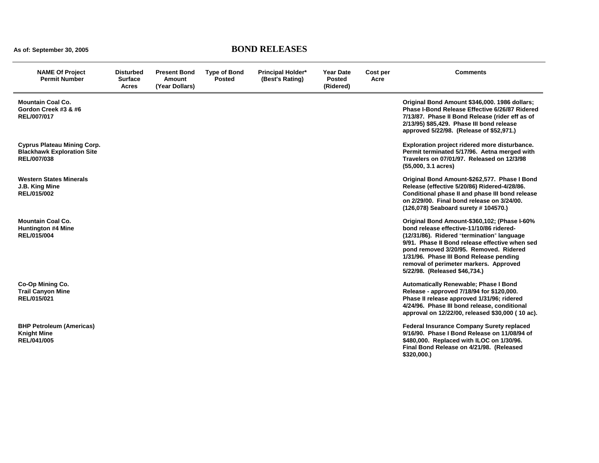## **As of: September 30, 2005 BOND RELEASES**

| <b>NAME Of Project</b><br><b>Permit Number</b>                                         | Disturbed<br><b>Surface</b><br><b>Acres</b> | <b>Present Bond</b><br>Amount<br>(Year Dollars) | <b>Type of Bond</b><br><b>Posted</b> | <b>Principal Holder*</b><br>(Best's Rating) | <b>Year Date</b><br><b>Posted</b><br>(Ridered) | Cost per<br>Acre | <b>Comments</b>                                                                                                                                                                                                                                                                                                                                          |
|----------------------------------------------------------------------------------------|---------------------------------------------|-------------------------------------------------|--------------------------------------|---------------------------------------------|------------------------------------------------|------------------|----------------------------------------------------------------------------------------------------------------------------------------------------------------------------------------------------------------------------------------------------------------------------------------------------------------------------------------------------------|
| <b>Mountain Coal Co.</b><br>Gordon Creek #3 & #6<br>REL/007/017                        |                                             |                                                 |                                      |                                             |                                                |                  | Original Bond Amount \$346,000. 1986 dollars;<br>Phase I-Bond Release Effective 6/26/87 Ridered<br>7/13/87. Phase II Bond Release (rider eff as of<br>2/13/95) \$85,429. Phase III bond release<br>approved 5/22/98. (Release of \$52,971.)                                                                                                              |
| <b>Cyprus Plateau Mining Corp.</b><br><b>Blackhawk Exploration Site</b><br>REL/007/038 |                                             |                                                 |                                      |                                             |                                                |                  | Exploration project ridered more disturbance.<br>Permit terminated 5/17/96. Aetna merged with<br>Travelers on 07/01/97. Released on 12/3/98<br>$(55,000, 3.1 \text{ acres})$                                                                                                                                                                             |
| <b>Western States Minerals</b><br>J.B. King Mine<br>REL/015/002                        |                                             |                                                 |                                      |                                             |                                                |                  | Original Bond Amount-\$262,577. Phase I Bond<br>Release (effective 5/20/86) Ridered-4/28/86.<br>Conditional phase II and phase III bond release<br>on 2/29/00. Final bond release on 3/24/00.<br>(126,078) Seaboard surety #104570.)                                                                                                                     |
| <b>Mountain Coal Co.</b><br><b>Huntington #4 Mine</b><br>REL/015/004                   |                                             |                                                 |                                      |                                             |                                                |                  | Original Bond Amount-\$360,102; (Phase I-60%<br>bond release effective-11/10/86 ridered-<br>(12/31/86). Ridered "termination" language<br>9/91. Phase II Bond release effective when sed<br>pond removed 3/20/95. Removed. Ridered<br>1/31/96. Phase III Bond Release pending<br>removal of perimeter markers. Approved<br>5/22/98. (Released \$46,734.) |
| Co-Op Mining Co.<br><b>Trail Canyon Mine</b><br>REL/015/021                            |                                             |                                                 |                                      |                                             |                                                |                  | Automatically Renewable; Phase I Bond<br>Release - approved 7/18/94 for \$120,000.<br>Phase II release approved 1/31/96; ridered<br>4/24/96. Phase III bond release, conditional<br>approval on 12/22/00, released \$30,000 (10 ac).                                                                                                                     |
| <b>BHP Petroleum (Americas)</b><br><b>Knight Mine</b><br>REL/041/005                   |                                             |                                                 |                                      |                                             |                                                |                  | <b>Federal Insurance Company Surety replaced</b><br>9/16/90. Phase I Bond Release on 11/08/94 of<br>\$480,000. Replaced with ILOC on 1/30/96.<br>Final Bond Release on 4/21/98. (Released<br>\$320,000.                                                                                                                                                  |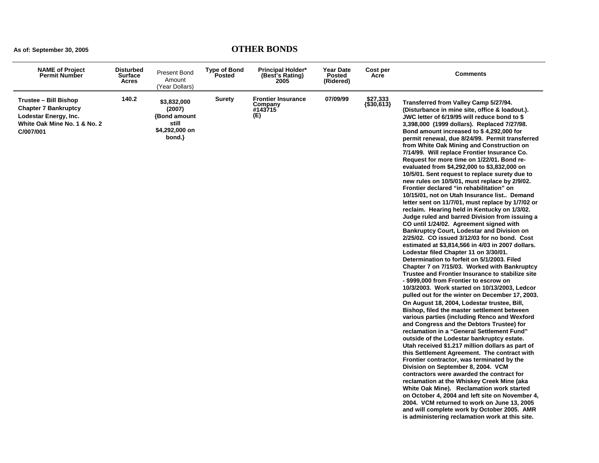| <b>NAME of Project</b><br><b>Permit Number</b>                                                                             | <b>Disturbed</b><br><b>Surface</b><br>Acres | <b>Present Bond</b><br>Amount<br>(Year Dollars)                                  | <b>Type of Bond</b><br>Posted | <b>Principal Holder*</b><br>(Best's Rating)<br>2005    | <b>Year Date</b><br><b>Posted</b><br>(Ridered) | Cost per<br>Acre       | <b>Comments</b>                                                                                                                                                                                                                                                                                                                                                                                                                                                                                                                                                                                                                                                                                                                                                                                                                                                                                                                                                                                                                                                                                                                                                                                                                                                                                                                                                                                                                                                                                                                                                                                                                                                                                                                                                                                                                                                                                                                                                                                                                                                                                                                                                                                                 |
|----------------------------------------------------------------------------------------------------------------------------|---------------------------------------------|----------------------------------------------------------------------------------|-------------------------------|--------------------------------------------------------|------------------------------------------------|------------------------|-----------------------------------------------------------------------------------------------------------------------------------------------------------------------------------------------------------------------------------------------------------------------------------------------------------------------------------------------------------------------------------------------------------------------------------------------------------------------------------------------------------------------------------------------------------------------------------------------------------------------------------------------------------------------------------------------------------------------------------------------------------------------------------------------------------------------------------------------------------------------------------------------------------------------------------------------------------------------------------------------------------------------------------------------------------------------------------------------------------------------------------------------------------------------------------------------------------------------------------------------------------------------------------------------------------------------------------------------------------------------------------------------------------------------------------------------------------------------------------------------------------------------------------------------------------------------------------------------------------------------------------------------------------------------------------------------------------------------------------------------------------------------------------------------------------------------------------------------------------------------------------------------------------------------------------------------------------------------------------------------------------------------------------------------------------------------------------------------------------------------------------------------------------------------------------------------------------------|
| Trustee - Bill Bishop<br><b>Chapter 7 Bankruptcy</b><br>Lodestar Energy, Inc.<br>White Oak Mine No. 1 & No. 2<br>C/007/001 | 140.2                                       | \$3,832,000<br>(2007)<br><b>Bond amount</b><br>still<br>\$4,292,000 on<br>bond.} | <b>Surety</b>                 | <b>Frontier Insurance</b><br>Company<br>#143715<br>(E) | 07/09/99                                       | \$27,333<br>{\$30,613} | Transferred from Valley Camp 5/27/94.<br>(Disturbance in mine site, office & loadout.).<br>JWC letter of 6/19/95 will reduce bond to \$<br>3,398,000 (1999 dollars). Replaced 7/27/98.<br>Bond amount increased to \$4,292,000 for<br>permit renewal, due 8/24/99. Permit transferred<br>from White Oak Mining and Construction on<br>7/14/99. Will replace Frontier Insurance Co.<br>Request for more time on 1/22/01. Bond re-<br>evaluated from \$4,292,000 to \$3,832,000 on<br>10/5/01. Sent request to replace surety due to<br>new rules on 10/5/01, must replace by 2/9/02.<br>Frontier declared "in rehabilitation" on<br>10/15/01, not on Utah Insurance list Demand<br>letter sent on 11/7/01, must replace by 1/7/02 or<br>reclaim. Hearing held in Kentucky on 1/3/02.<br>Judge ruled and barred Division from issuing a<br>CO until 1/24/02. Agreement signed with<br><b>Bankruptcy Court, Lodestar and Division on</b><br>2/25/02. CO issued 3/12/03 for no bond. Cost<br>estimated at \$3,814,566 in 4/03 in 2007 dollars.<br>Lodestar filed Chapter 11 on 3/30/01.<br>Determination to forfeit on 5/1/2003. Filed<br>Chapter 7 on 7/15/03. Worked with Bankruptcy<br>Trustee and Frontier Insurance to stabilize site<br>- \$999,000 from Frontier to escrow on<br>10/3/2003. Work started on 10/13/2003, Ledcor<br>pulled out for the winter on December 17, 2003.<br>On August 18, 2004, Lodestar trustee, Bill,<br>Bishop, filed the master settlement between<br>various parties (including Renco and Wexford<br>and Congress and the Debtors Trustee) for<br>reclamation in a "General Settlement Fund"<br>outside of the Lodestar bankruptcy estate.<br>Utah received \$1.217 million dollars as part of<br>this Settlement Agreement. The contract with<br>Frontier contractor, was terminated by the<br>Division on September 8, 2004. VCM<br>contractors were awarded the contract for<br>reclamation at the Whiskey Creek Mine (aka<br>White Oak Mine). Reclamation work started<br>on October 4, 2004 and left site on November 4,<br>2004. VCM returned to work on June 13, 2005<br>and will complete work by October 2005. AMR<br>is administering reclamation work at this site. |